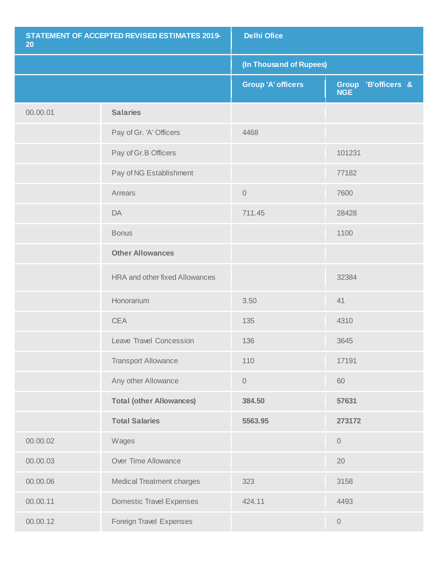| STATEMENT OF ACCEPTED REVISED ESTIMATES 2019-<br>20 |                                       | <b>Delhi Ofice</b>        |                                   |  |
|-----------------------------------------------------|---------------------------------------|---------------------------|-----------------------------------|--|
|                                                     |                                       |                           | (In Thousand of Rupees)           |  |
|                                                     |                                       | <b>Group 'A' officers</b> | Group 'B'officers &<br><b>NGE</b> |  |
| 00.00.01                                            | <b>Salaries</b>                       |                           |                                   |  |
|                                                     | Pay of Gr. 'A' Officers               | 4468                      |                                   |  |
|                                                     | Pay of Gr.B Officers                  |                           | 101231                            |  |
|                                                     | Pay of NG Establishment               |                           | 77182                             |  |
|                                                     | Arrears                               | $\mathbf 0$               | 7600                              |  |
|                                                     | DA                                    | 711.45                    | 28428                             |  |
|                                                     | <b>Bonus</b>                          |                           | 1100                              |  |
|                                                     | <b>Other Allowances</b>               |                           |                                   |  |
|                                                     | <b>HRA and other fixed Allowances</b> |                           | 32384                             |  |
|                                                     | Honorarium                            | 3.50                      | 41                                |  |
|                                                     | <b>CEA</b>                            | 135                       | 4310                              |  |
|                                                     | Leave Travel Concession               | 136                       | 3645                              |  |
|                                                     | <b>Transport Allowance</b>            | 110                       | 17191                             |  |
|                                                     | Any other Allowance                   | 0                         | 60                                |  |
|                                                     | <b>Total (other Allowances)</b>       | 384.50                    | 57631                             |  |
|                                                     | <b>Total Salaries</b>                 | 5563.95                   | 273172                            |  |
| 00.00.02                                            | Wages                                 |                           | $\mathbf 0$                       |  |
| 00.00.03                                            | Over Time Allowance                   |                           | 20                                |  |
| 00.00.06                                            | <b>Medical Treatment charges</b>      | 323                       | 3158                              |  |
| 00.00.11                                            | <b>Domestic Travel Expenses</b>       | 424.11                    | 4493                              |  |
| 00.00.12                                            | Foreign Travel Expenses               |                           | $\mathbf 0$                       |  |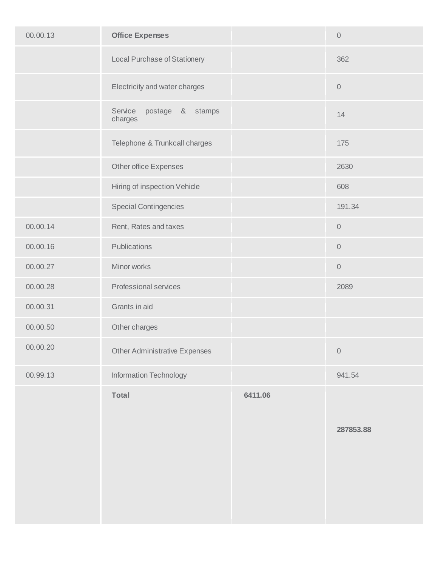| 00.00.13 | <b>Office Expenses</b>                 |         | $\mathbf 0$ |
|----------|----------------------------------------|---------|-------------|
|          | <b>Local Purchase of Stationery</b>    |         | 362         |
|          | Electricity and water charges          |         | $\mathbf 0$ |
|          | Service<br>postage & stamps<br>charges |         | 14          |
|          | Telephone & Trunkcall charges          |         | 175         |
|          | Other office Expenses                  |         | 2630        |
|          | Hiring of inspection Vehicle           |         | 608         |
|          | <b>Special Contingencies</b>           |         | 191.34      |
| 00.00.14 | Rent, Rates and taxes                  |         | $\mathbf 0$ |
| 00.00.16 | Publications                           |         | $\mathbf 0$ |
| 00.00.27 | Minor works                            |         | $\mathbf 0$ |
| 00.00.28 | Professional services                  |         | 2089        |
| 00.00.31 | Grants in aid                          |         |             |
| 00.00.50 | Other charges                          |         |             |
| 00.00.20 | <b>Other Administrative Expenses</b>   |         | $\mathbf 0$ |
| 00.99.13 | Information Technology                 |         | 941.54      |
|          | Total                                  | 6411.06 | 287853.88   |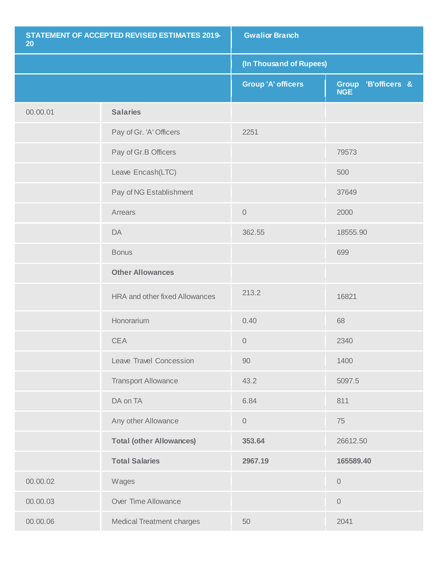| STATEMENT OF ACCEPTED REVISED ESTIMATES 2019-<br>20 |                                       | <b>Gwalior Branch</b>     |                                   |
|-----------------------------------------------------|---------------------------------------|---------------------------|-----------------------------------|
|                                                     |                                       | (In Thousand of Rupees)   |                                   |
|                                                     |                                       | <b>Group 'A' officers</b> | Group 'B'officers &<br><b>NGE</b> |
| 00.00.01                                            | <b>Salaries</b>                       |                           |                                   |
|                                                     | Pay of Gr. 'A' Officers               | 2251                      |                                   |
|                                                     | Pay of Gr.B Officers                  |                           | 79573                             |
|                                                     | Leave Encash(LTC)                     |                           | 500                               |
|                                                     | Pay of NG Establishment               |                           | 37649                             |
|                                                     | Arrears                               | $\mathbf 0$               | 2000                              |
|                                                     | DA                                    | 362.55                    | 18555.90                          |
|                                                     | <b>Bonus</b>                          |                           | 699                               |
|                                                     | <b>Other Allowances</b>               |                           |                                   |
|                                                     | <b>HRA and other fixed Allowances</b> | 213.2                     | 16821                             |
|                                                     | Honorarium                            | 0.40                      | 68                                |
|                                                     | <b>CEA</b>                            | $\mathbf 0$               | 2340                              |
|                                                     | Leave Travel Concession               | 90                        | 1400                              |
|                                                     | <b>Transport Allowance</b>            | 43.2                      | 5097.5                            |
|                                                     | DA on TA                              | 6.84                      | 811                               |
|                                                     | Any other Allowance                   | $\mathbf 0$               | 75                                |
|                                                     | <b>Total (other Allowances)</b>       | 353.64                    | 26612.50                          |
|                                                     | <b>Total Salaries</b>                 | 2967.19                   | 165589.40                         |
| 00.00.02                                            | Wages                                 |                           | $\mathbf 0$                       |
| 00.00.03                                            | Over Time Allowance                   |                           | $\mathbf 0$                       |
| 00.00.06                                            | <b>Medical Treatment charges</b>      | 50                        | 2041                              |